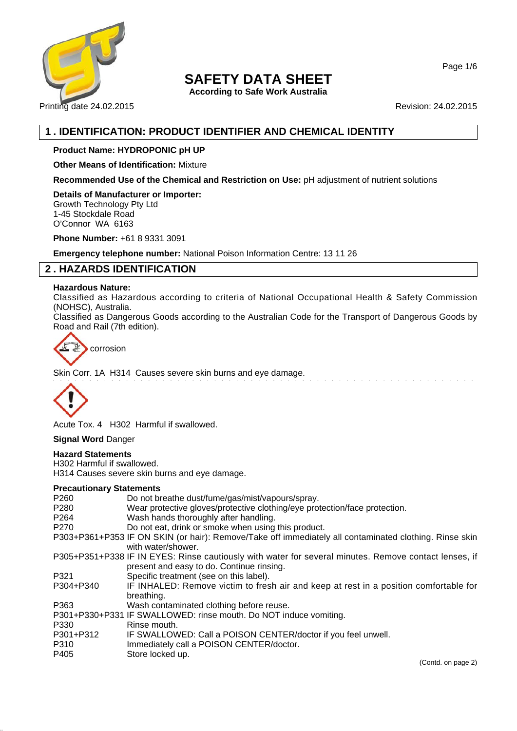

**According to Safe Work Australia**

Printing date 24.02.2015 **Revision: 24.02.2015** Revision: 24.02.2015

# **1 . IDENTIFICATION: PRODUCT IDENTIFIER AND CHEMICAL IDENTITY**

## **Product Name: HYDROPONIC pH UP**

**Other Means of Identification:** Mixture

**Recommended Use of the Chemical and Restriction on Use:** pH adjustment of nutrient solutions

**Details of Manufacturer or Importer:** Growth Technology Pty Ltd 1-45 Stockdale Road O'Connor WA 6163

**Phone Number:** +61 8 9331 3091

**Emergency telephone number:** National Poison Information Centre: 13 11 26

# **2 . HAZARDS IDENTIFICATION**

#### **Hazardous Nature:**

Classified as Hazardous according to criteria of National Occupational Health & Safety Commission (NOHSC), Australia.

Classified as Dangerous Goods according to the Australian Code for the Transport of Dangerous Goods by Road and Rail (7th edition).



Skin Corr. 1A H314 Causes severe skin burns and eye damage.



Acute Tox. 4 H302 Harmful if swallowed.

### **Signal Word** Danger

## **Hazard Statements**

H302 Harmful if swallowed. H314 Causes severe skin burns and eye damage.

#### **Precautionary Statements**

| P260                      | Do not breathe dust/fume/gas/mist/vapours/spray.                                                                                                   |
|---------------------------|----------------------------------------------------------------------------------------------------------------------------------------------------|
| P280                      | Wear protective gloves/protective clothing/eye protection/face protection.                                                                         |
| P264                      | Wash hands thoroughly after handling.                                                                                                              |
| P270                      | Do not eat, drink or smoke when using this product.                                                                                                |
|                           | P303+P361+P353 IF ON SKIN (or hair): Remove/Take off immediately all contaminated clothing. Rinse skin<br>with water/shower.                       |
|                           | P305+P351+P338 IF IN EYES: Rinse cautiously with water for several minutes. Remove contact lenses, if<br>present and easy to do. Continue rinsing. |
| P321                      | Specific treatment (see on this label).                                                                                                            |
| P304+P340                 | IF INHALED: Remove victim to fresh air and keep at rest in a position comfortable for<br>breathing.                                                |
| P363                      | Wash contaminated clothing before reuse.                                                                                                           |
|                           | P301+P330+P331 IF SWALLOWED: rinse mouth. Do NOT induce vomiting.                                                                                  |
| P330                      | Rinse mouth.                                                                                                                                       |
| P301+P312<br>P310<br>P405 | IF SWALLOWED: Call a POISON CENTER/doctor if you feel unwell.<br>Immediately call a POISON CENTER/doctor.<br>Store locked up.                      |
|                           |                                                                                                                                                    |

Page 1/6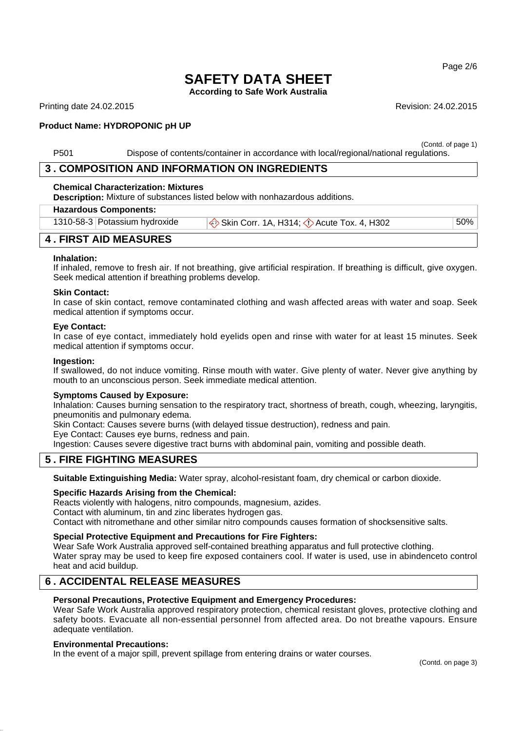Page 2/6

# **SAFETY DATA SHEET**

**According to Safe Work Australia**

Printing date 24.02.2015 **Revision: 24.02.2015** Revision: 24.02.2015

### **Product Name: HYDROPONIC pH UP**

(Contd. of page 1) P501 Dispose of contents/container in accordance with local/regional/national regulations.

# **3 . COMPOSITION AND INFORMATION ON INGREDIENTS**

#### **Chemical Characterization: Mixtures**

**Description:** Mixture of substances listed below with nonhazardous additions.

#### **Hazardous Components:**

| 1310-58-3 Potassium hydroxide | Skin Corr. 1A, H314; $\Diamond$ Acute Tox. 4, H302 | 50% |
|-------------------------------|----------------------------------------------------|-----|
|                               |                                                    |     |

# **4 . FIRST AID MEASURES**

#### **Inhalation:**

If inhaled, remove to fresh air. If not breathing, give artificial respiration. If breathing is difficult, give oxygen. Seek medical attention if breathing problems develop.

#### **Skin Contact:**

In case of skin contact, remove contaminated clothing and wash affected areas with water and soap. Seek medical attention if symptoms occur.

#### **Eye Contact:**

In case of eye contact, immediately hold eyelids open and rinse with water for at least 15 minutes. Seek medical attention if symptoms occur.

#### **Ingestion:**

If swallowed, do not induce vomiting. Rinse mouth with water. Give plenty of water. Never give anything by mouth to an unconscious person. Seek immediate medical attention.

#### **Symptoms Caused by Exposure:**

Inhalation: Causes burning sensation to the respiratory tract, shortness of breath, cough, wheezing, laryngitis, pneumonitis and pulmonary edema.

Skin Contact: Causes severe burns (with delayed tissue destruction), redness and pain.

Eye Contact: Causes eye burns, redness and pain.

Ingestion: Causes severe digestive tract burns with abdominal pain, vomiting and possible death.

### **5 . FIRE FIGHTING MEASURES**

**Suitable Extinguishing Media:** Water spray, alcohol-resistant foam, dry chemical or carbon dioxide.

#### **Specific Hazards Arising from the Chemical:**

Reacts violently with halogens, nitro compounds, magnesium, azides. Contact with aluminum, tin and zinc liberates hydrogen gas. Contact with nitromethane and other similar nitro compounds causes formation of shocksensitive salts.

#### **Special Protective Equipment and Precautions for Fire Fighters:**

Wear Safe Work Australia approved self-contained breathing apparatus and full protective clothing. Water spray may be used to keep fire exposed containers cool. If water is used, use in abindenceto control heat and acid buildup.

# **6 . ACCIDENTAL RELEASE MEASURES**

#### **Personal Precautions, Protective Equipment and Emergency Procedures:**

Wear Safe Work Australia approved respiratory protection, chemical resistant gloves, protective clothing and safety boots. Evacuate all non-essential personnel from affected area. Do not breathe vapours. Ensure adequate ventilation.

#### **Environmental Precautions:**

In the event of a major spill, prevent spillage from entering drains or water courses.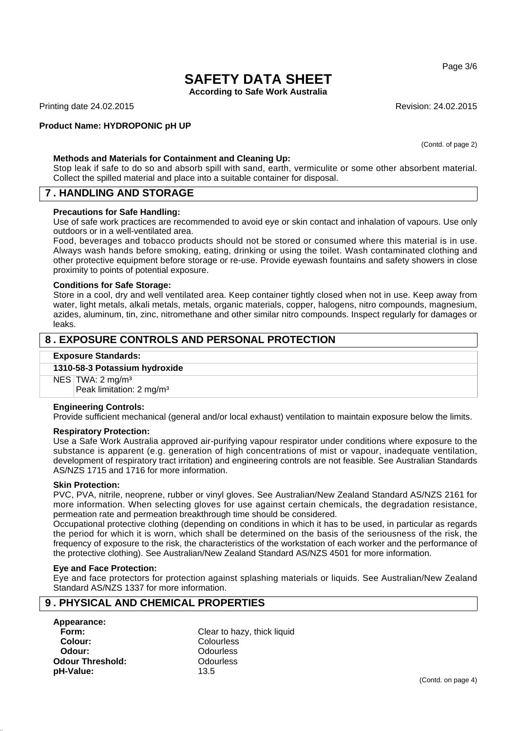Page 3/6

# **SAFETY DATA SHEET**

**According to Safe Work Australia**

Printing date 24.02.2015 **Revision: 24.02.2015** Revision: 24.02.2015

#### **Product Name: HYDROPONIC pH UP**

(Contd. of page 2)

#### **Methods and Materials for Containment and Cleaning Up:**

Stop leak if safe to do so and absorb spill with sand, earth, vermiculite or some other absorbent material. Collect the spilled material and place into a suitable container for disposal.

## **7 . HANDLING AND STORAGE**

#### **Precautions for Safe Handling:**

Use of safe work practices are recommended to avoid eye or skin contact and inhalation of vapours. Use only outdoors or in a well-ventilated area.

Food, beverages and tobacco products should not be stored or consumed where this material is in use. Always wash hands before smoking, eating, drinking or using the toilet. Wash contaminated clothing and other protective equipment before storage or re-use. Provide eyewash fountains and safety showers in close proximity to points of potential exposure.

#### **Conditions for Safe Storage:**

Store in a cool, dry and well ventilated area. Keep container tightly closed when not in use. Keep away from water, light metals, alkali metals, metals, organic materials, copper, halogens, nitro compounds, magnesium, azides, aluminum, tin, zinc, nitromethane and other similar nitro compounds. Inspect regularly for damages or leaks.

# **8 . EXPOSURE CONTROLS AND PERSONAL PROTECTION**

#### **Exposure Standards:**

#### **1310-58-3 Potassium hydroxide**

NES TWA: 2 mg/m<sup>3</sup>

Peak limitation: 2 mg/m³

#### **Engineering Controls:**

Provide sufficient mechanical (general and/or local exhaust) ventilation to maintain exposure below the limits.

#### **Respiratory Protection:**

Use a Safe Work Australia approved air-purifying vapour respirator under conditions where exposure to the substance is apparent (e.g. generation of high concentrations of mist or vapour, inadequate ventilation, development of respiratory tract irritation) and engineering controls are not feasible. See Australian Standards AS/NZS 1715 and 1716 for more information.

#### **Skin Protection:**

PVC, PVA, nitrile, neoprene, rubber or vinyl gloves. See Australian/New Zealand Standard AS/NZS 2161 for more information. When selecting gloves for use against certain chemicals, the degradation resistance, permeation rate and permeation breakthrough time should be considered.

Occupational protective clothing (depending on conditions in which it has to be used, in particular as regards the period for which it is worn, which shall be determined on the basis of the seriousness of the risk, the frequency of exposure to the risk, the characteristics of the workstation of each worker and the performance of the protective clothing). See Australian/New Zealand Standard AS/NZS 4501 for more information.

### **Eye and Face Protection:**

Eye and face protectors for protection against splashing materials or liquids. See Australian/New Zealand Standard AS/NZS 1337 for more information.

# **9 . PHYSICAL AND CHEMICAL PROPERTIES**

**Appearance: Colour:** Colourless **Odour:** Odourless **Odour Threshold:** Odourless **pH-Value:** 13.5

**Form:** Clear to hazy, thick liquid

(Contd. on page 4)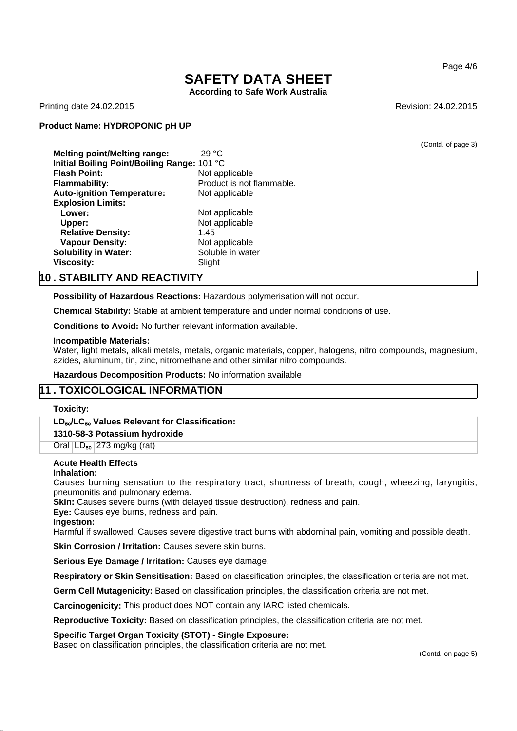**According to Safe Work Australia**

Printing date 24.02.2015 **Revision: 24.02.2015** Revision: 24.02.2015

#### **Product Name: HYDROPONIC pH UP**

(Contd. of page 3)

**Melting point/Melting range:** -29 °C **Initial Boiling Point/Boiling Range:** 101 °C **Flash Point:** Not applicable **Flammability:** Product is not flammable. **Auto-ignition Temperature:** Not applicable **Explosion Limits: Lower:**<br>
Upper: Not applicable<br>
Not applicable **Not applicable** Relative Density: 1.45 **Vapour Density:** Not applicable **Solubility in Water:** Soluble in water **Viscosity:** Slight

## **10 . STABILITY AND REACTIVITY**

**Possibility of Hazardous Reactions:** Hazardous polymerisation will not occur.

**Chemical Stability:** Stable at ambient temperature and under normal conditions of use.

**Conditions to Avoid:** No further relevant information available.

#### **Incompatible Materials:**

Water, light metals, alkali metals, metals, organic materials, copper, halogens, nitro compounds, magnesium, azides, aluminum, tin, zinc, nitromethane and other similar nitro compounds.

**Hazardous Decomposition Products:** No information available

# **11 . TOXICOLOGICAL INFORMATION**

#### **Toxicity:**

**LD**₅₀**/LC**₅₀ **Values Relevant for Classification:**

#### **1310-58-3 Potassium hydroxide**

Oral  $LD_{50}$  273 mg/kg (rat)

#### **Acute Health Effects**

#### **Inhalation:**

Causes burning sensation to the respiratory tract, shortness of breath, cough, wheezing, laryngitis, pneumonitis and pulmonary edema.

**Skin:** Causes severe burns (with delayed tissue destruction), redness and pain.

**Eye:** Causes eye burns, redness and pain.

**Ingestion:**

Harmful if swallowed. Causes severe digestive tract burns with abdominal pain, vomiting and possible death.

**Skin Corrosion / Irritation:** Causes severe skin burns.

**Serious Eye Damage / Irritation:** Causes eye damage.

**Respiratory or Skin Sensitisation:** Based on classification principles, the classification criteria are not met.

**Germ Cell Mutagenicity:** Based on classification principles, the classification criteria are not met.

**Carcinogenicity:** This product does NOT contain any IARC listed chemicals.

**Reproductive Toxicity:** Based on classification principles, the classification criteria are not met.

#### **Specific Target Organ Toxicity (STOT) - Single Exposure:**

Based on classification principles, the classification criteria are not met.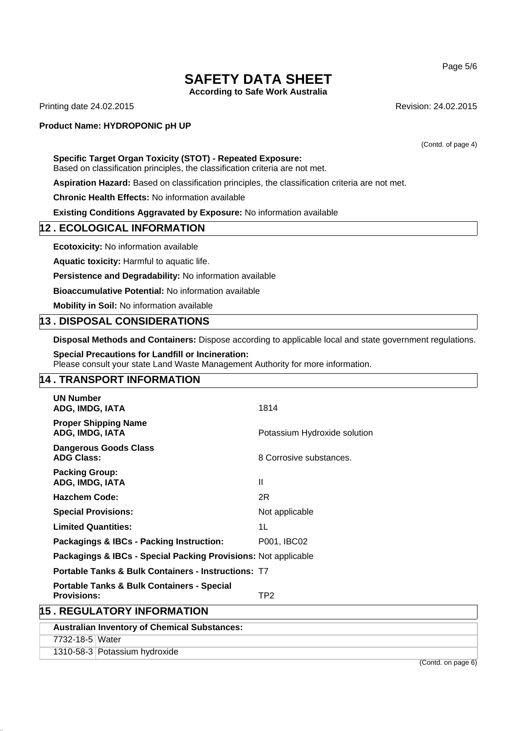**According to Safe Work Australia**

Printing date 24.02.2015 **Revision: 24.02.2015** Revision: 24.02.2015

#### **Product Name: HYDROPONIC pH UP**

### **Specific Target Organ Toxicity (STOT) - Repeated Exposure:**

Based on classification principles, the classification criteria are not met.

**Aspiration Hazard:** Based on classification principles, the classification criteria are not met.

**Chronic Health Effects:** No information available

**Existing Conditions Aggravated by Exposure:** No information available

## **12 . ECOLOGICAL INFORMATION**

**Ecotoxicity:** No information available

**Aquatic toxicity:** Harmful to aquatic life.

**Persistence and Degradability:** No information available

**Bioaccumulative Potential:** No information available

**Mobility in Soil:** No information available

## **13 . DISPOSAL CONSIDERATIONS**

**Disposal Methods and Containers:** Dispose according to applicable local and state government regulations.

**Special Precautions for Landfill or Incineration:**

Please consult your state Land Waste Management Authority for more information.

# **14 . TRANSPORT INFORMATION**

1310-58-3 Potassium hydroxide

|                                   | <b>UN Number</b><br>ADG, IMDG, IATA                                         | 1814                         |  |  |
|-----------------------------------|-----------------------------------------------------------------------------|------------------------------|--|--|
|                                   | <b>Proper Shipping Name</b><br>ADG, IMDG, IATA                              | Potassium Hydroxide solution |  |  |
|                                   | <b>Dangerous Goods Class</b><br><b>ADG Class:</b>                           | 8 Corrosive substances.      |  |  |
|                                   | <b>Packing Group:</b><br>ADG, IMDG, IATA                                    | $\mathbf{I}$                 |  |  |
|                                   | <b>Hazchem Code:</b>                                                        | 2R                           |  |  |
|                                   | <b>Special Provisions:</b>                                                  | Not applicable               |  |  |
|                                   | <b>Limited Quantities:</b>                                                  | 1L                           |  |  |
|                                   | <b>Packagings &amp; IBCs - Packing Instruction:</b>                         | P001, IBC02                  |  |  |
|                                   | Packagings & IBCs - Special Packing Provisions: Not applicable              |                              |  |  |
|                                   | <b>Portable Tanks &amp; Bulk Containers - Instructions: T7</b>              |                              |  |  |
|                                   | <b>Portable Tanks &amp; Bulk Containers - Special</b><br><b>Provisions:</b> | TP2                          |  |  |
| <b>15. REGULATORY INFORMATION</b> |                                                                             |                              |  |  |
|                                   | <b>Australian Inventory of Chemical Substances:</b>                         |                              |  |  |
|                                   | 7732-18-5 Water                                                             |                              |  |  |

(Contd. of page 4)

Page 5/6

(Contd. on page 6)